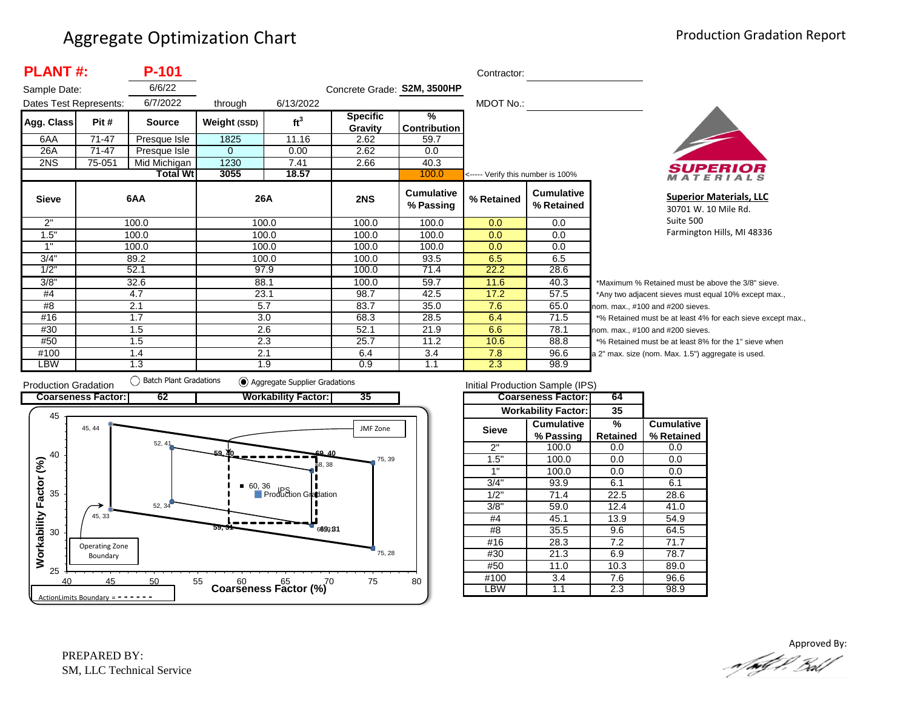| <b>PLANT#:</b><br>P-101<br>Contractor: |           |                 |              |                 |                             |                                      |                                   |                                 |                |
|----------------------------------------|-----------|-----------------|--------------|-----------------|-----------------------------|--------------------------------------|-----------------------------------|---------------------------------|----------------|
| Sample Date:                           |           | 6/6/22          |              |                 | Concrete Grade: S2M, 3500HP |                                      |                                   |                                 |                |
| Dates Test Represents:                 |           | 6/7/2022        | through      | 6/13/2022       |                             |                                      | MDOT No.:                         |                                 |                |
| Agg. Class                             | Pit #     | <b>Source</b>   | Weight (SSD) | ft <sup>3</sup> | <b>Specific</b><br>Gravity  | $\frac{9}{6}$<br><b>Contribution</b> |                                   |                                 |                |
| 6AA                                    | $71 - 47$ | Presque Isle    | 1825         | 11.16           | 2.62                        | 59.7                                 |                                   |                                 |                |
| 26A                                    | 71-47     | Presque Isle    | $\mathbf{0}$ | 0.00            | 2.62                        | 0.0                                  |                                   |                                 |                |
| 2NS                                    | 75-051    | Mid Michigan    | 1230         | 7.41            | 2.66                        | 40.3                                 |                                   |                                 |                |
|                                        |           | <b>Total Wt</b> | 3055         | 18.57           |                             | 100.0                                | <----- Verify this number is 100% |                                 |                |
| <b>Sieve</b>                           |           | 6AA             |              | 26A             | 2NS                         | <b>Cumulative</b><br>% Passing       | % Retained                        | <b>Cumulative</b><br>% Retained |                |
| 2"                                     |           | 100.0           |              | 100.0           | 100.0                       | 100.0                                | 0.0                               | 0.0                             |                |
| 1.5"                                   |           | 100.0           |              | 100.0           | 100.0                       | 100.0                                | 0.0                               | 0.0                             |                |
| 1"                                     |           | 100.0           |              | 100.0           | 100.0                       | 100.0                                | 0.0                               | 0.0                             |                |
| 3/4"                                   |           | 89.2            |              | 100.0           | 100.0                       | 93.5                                 | 6.5                               | 6.5                             |                |
| 1/2"                                   |           | 52.1            |              | 97.9            | 100.0                       | 71.4                                 | 22.2                              | 28.6                            |                |
| 3/8"                                   |           | 32.6            | 88.1         |                 | 100.0                       | 59.7                                 | 11.6                              | 40.3                            | *Μ             |
| #4                                     |           | 4.7             | 23.1         |                 | 98.7                        | 42.5                                 | 17.2                              | 57.5                            | */             |
| #8                                     |           | 2.1             |              | 5.7             | 83.7                        | 35.0                                 | 7.6                               | 65.0                            | nor            |
| #16                                    |           | 1.7             | 3.0          |                 | 68.3                        | 28.5                                 | 6.4                               | 71.5                            | $*_{0}$        |
| #30                                    |           | 1.5             |              | 2.6             | 52.1                        | 21.9                                 | 6.6                               | 78.1                            | nor            |
| #50                                    |           | 1.5             |              | 2.3             | 25.7                        | 11.2                                 | 10.6                              | 88.8                            | $*_{0}$        |
| #100                                   |           | 1.4             | 2.1          |                 | 6.4                         | 3.4                                  | 7.8                               | 96.6                            | a <sub>2</sub> |
| LBW                                    |           | 1.3             |              | 1.9             | 0.9                         | 1.1                                  | 2.3                               | 98.9                            |                |



**Superior Materials, LLC** 30701 W. 10 Mile Rd. Suite 500 Farmington Hills, MI 48336

Maximum % Retained must be above the 3/8" sieve. Any two adjacent sieves must equal 10% except max., m. max., #100 and #200 sieves. % Retained must be at least 4% for each sieve except max., m. max., #100 and #200 sieves. % Retained must be at least 8% for the 1" sieve when <sup>2"</sup> max. size (nom. Max. 1.5") aggregate is used.



|              | Initial Production Sample (IPS) |          |                   |
|--------------|---------------------------------|----------|-------------------|
|              | <b>Coarseness Factor:</b>       | 64       |                   |
|              | <b>Workability Factor:</b>      | 35       |                   |
| <b>Sieve</b> | <b>Cumulative</b>               | %        | <b>Cumulative</b> |
|              | % Passing                       | Retained | % Retained        |
| 2"           | 100.0                           | 0.0      | 0.0               |
| 1.5"         | 100.0                           | 0.0      | 0.0               |
| 1"           | 100.0                           | 0.0      | 0.0               |
| 3/4"         | 93.9                            | 6.1      | 6.1               |
| 1/2"         | 71.4                            | 22.5     | 28.6              |
| 3/8"         | 59.0                            | 12.4     | 41.0              |
| #4           | 45.1                            | 13.9     | 54.9              |
| #8           | 35.5                            | 9.6      | 64.5              |
| #16          | 28.3                            | 7.2      | 71.7              |
| #30          | 21.3                            | 6.9      | 78.7              |
| #50          | 11.0                            | 10.3     | 89.0              |
| #100         | 3.4                             | 7.6      | 96.6              |
| _BW          | 1.1                             | 2.3      | 98.9              |

Approved By:a fødf f. Bolf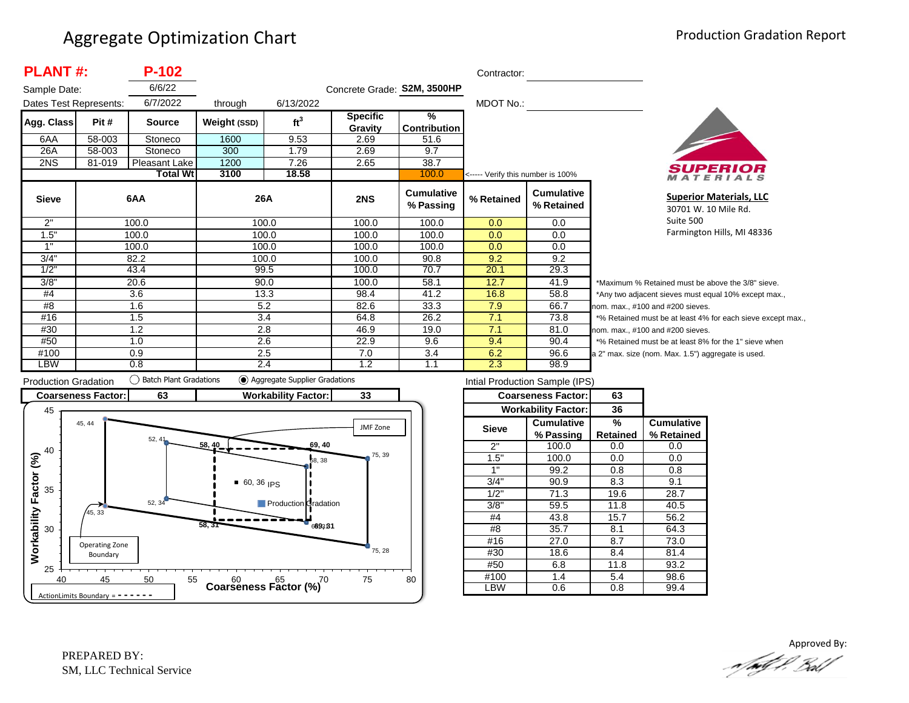| <b>PLANT#:</b>         |        | P-102           |              |                 |                             |                                | Contractor:                       |                                 |                  |
|------------------------|--------|-----------------|--------------|-----------------|-----------------------------|--------------------------------|-----------------------------------|---------------------------------|------------------|
| Sample Date:           |        | 6/6/22          |              |                 | Concrete Grade: S2M, 3500HP |                                |                                   |                                 |                  |
| Dates Test Represents: |        | 6/7/2022        | through      | 6/13/2022       |                             |                                | MDOT No.:                         |                                 |                  |
| Agg. Class             | Pit #  | <b>Source</b>   | Weight (SSD) | ft <sup>3</sup> | <b>Specific</b>             | %                              |                                   |                                 |                  |
|                        |        |                 |              |                 | Gravity                     | Contribution                   |                                   |                                 |                  |
| 6AA                    | 58-003 | Stoneco         | 1600         | 9.53            | 2.69                        | 51.6                           |                                   |                                 |                  |
| 26A                    | 58-003 | Stoneco         | 300          | 1.79            | 2.69                        | 9.7                            |                                   |                                 |                  |
| 2NS                    | 81-019 | Pleasant Lake   | 1200         | 7.26            | 2.65                        | 38.7                           |                                   |                                 |                  |
|                        |        | <b>Total Wt</b> | 3100         | 18.58           |                             | 100.0                          | <----- Verify this number is 100% |                                 |                  |
| <b>Sieve</b>           |        | 6AA             | 26A          |                 | 2NS                         | <b>Cumulative</b><br>% Passing | % Retained                        | <b>Cumulative</b><br>% Retained |                  |
| 2"                     |        | 100.0           |              | 100.0           | 100.0                       | 100.0                          | 0.0                               | 0.0                             |                  |
| 1.5"                   |        | 100.0           |              | 100.0           | 100.0                       | 100.0                          | 0.0                               | $0.0\,$                         |                  |
| 1"                     |        | 100.0           |              | 100.0           | 100.0                       | 100.0                          | 0.0                               | $0.0\,$                         |                  |
| 3/4"                   |        | 82.2            |              | 100.0           | 100.0                       | 90.8                           | 9.2                               | 9.2                             |                  |
| 1/2"                   |        | 43.4            |              | 99.5            | 100.0                       | 70.7                           | 20.1                              | 29.3                            |                  |
| 3/8"                   |        | 20.6            |              | 90.0            | 100.0                       | 58.1                           | 12.7                              | 41.9                            | *۱               |
| #4                     |        | 3.6             |              | 13.3            | 98.4                        | 41.2                           | 16.8                              | 58.8                            | */               |
| #8                     |        | 1.6             |              | 5.2             | 82.6                        | 33.3                           | 7.9                               | 66.7                            | nor              |
| #16                    |        | 1.5             |              | 3.4             | 64.8                        | 26.2                           | 7.1                               | 73.8                            | $*$ <sup>o</sup> |
| #30                    |        | 1.2             |              | 2.8             | 46.9                        | 19.0                           | 7.1                               | 81.0                            | nor              |
| #50                    |        | 1.0             |              | 2.6             | 22.9                        | 9.6                            | 9.4                               | 90.4                            | $*$ <sup>o</sup> |
| #100                   |        | 0.9             |              | 2.5             | 7.0                         | 3.4                            | 6.2                               | 96.6                            | a <sub>2</sub>   |
| LBW                    |        | 0.8             |              | 2.4             | 1.2                         | 1.1                            | 2.3                               | 98.9                            |                  |



**Superior Materials, LLC** 30701 W. 10 Mile Rd. Suite 500 Farmington Hills, MI 48336

Maximum % Retained must be above the 3/8" sieve. Any two adjacent sieves must equal 10% except max., m. max., #100 and #200 sieves. % Retained must be at least 4% for each sieve except max., m. max., #100 and #200 sieves. % Retained must be at least 8% for the 1" sieve when <sup>2"</sup> max. size (nom. Max. 1.5") aggregate is used.



| Intial Production Sample (IPS) |                            |                 |                   |  |  |  |  |  |
|--------------------------------|----------------------------|-----------------|-------------------|--|--|--|--|--|
|                                | <b>Coarseness Factor:</b>  | 63              |                   |  |  |  |  |  |
|                                | <b>Workability Factor:</b> | 36              |                   |  |  |  |  |  |
| <b>Sieve</b>                   | <b>Cumulative</b>          | %               | <b>Cumulative</b> |  |  |  |  |  |
|                                | % Passing                  | <b>Retained</b> | % Retained        |  |  |  |  |  |
| 2"                             | 100.0                      | 0.0             | 0.0               |  |  |  |  |  |
| 1.5"                           | 100.0                      | 0.0             | 0.0               |  |  |  |  |  |
| 1"                             | 99.2                       | 0.8             | 0.8               |  |  |  |  |  |
| 3/4                            | 90.9                       | 8.3             | 9.1               |  |  |  |  |  |
| 1/2"                           | 71.3                       | 19.6            | 28.7              |  |  |  |  |  |
| 3/8"                           | 59.5                       | 11.8            | 40.5              |  |  |  |  |  |
| #4                             | 43.8                       | 15.7            | 56.2              |  |  |  |  |  |
| #8                             | 35.7                       | 8.1             | 64.3              |  |  |  |  |  |
| #16                            | 27.0                       | 8.7             | 73.0              |  |  |  |  |  |
| #30                            | 18.6                       | 8.4             | 81.4              |  |  |  |  |  |
| #50                            | 6.8                        | 11.8            | 93.2              |  |  |  |  |  |
| #100                           | 1.4                        |                 | 98.6              |  |  |  |  |  |
| .BW                            | 0.6                        | 0.8             | 99.4              |  |  |  |  |  |

Approved By:<br>Approved By: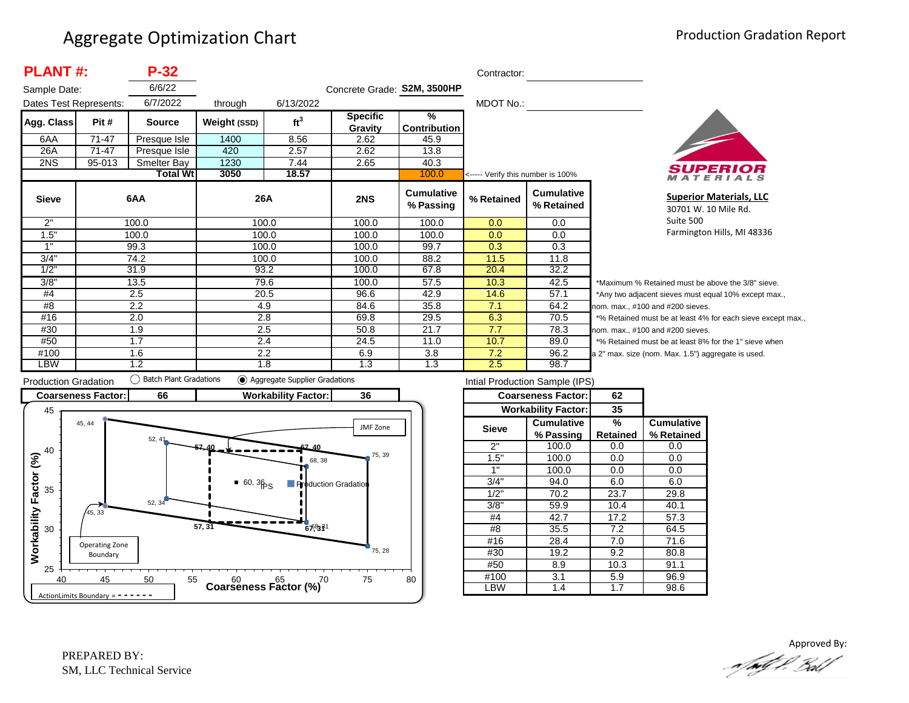| <b>PLANT#:</b>         |           | $P-32$          |              | Contractor:     |                             |                                      |                                   |                                 |            |
|------------------------|-----------|-----------------|--------------|-----------------|-----------------------------|--------------------------------------|-----------------------------------|---------------------------------|------------|
| Sample Date:           |           | 6/6/22          |              |                 | Concrete Grade: S2M, 3500HP |                                      |                                   |                                 |            |
| Dates Test Represents: |           | 6/7/2022        | through      | 6/13/2022       |                             |                                      | MDOT No.:                         |                                 |            |
| Agg. Class             | Pit #     | <b>Source</b>   | Weight (SSD) | ft <sup>3</sup> | <b>Specific</b><br>Gravity  | $\frac{9}{6}$<br><b>Contribution</b> |                                   |                                 |            |
| 6AA                    | $71 - 47$ | Presque Isle    | 1400         | 8.56            | 2.62                        | 45.9                                 |                                   |                                 |            |
| 26A                    | 71-47     | Presque Isle    | 420          | 2.57            | 2.62                        | 13.8                                 |                                   |                                 |            |
| 2NS                    | 95-013    | Smelter Bay     | 1230         | 7.44            | 2.65                        | 40.3                                 |                                   |                                 |            |
|                        |           | <b>Total Wt</b> | 3050         | 18.57           |                             | 100.0                                | <----- Verify this number is 100% |                                 |            |
| <b>Sieve</b>           |           | 6AA             | 26A          |                 | 2NS                         | <b>Cumulative</b><br>% Passing       | % Retained                        | <b>Cumulative</b><br>% Retained |            |
| 2"                     |           | 100.0           |              | 100.0           | 100.0                       | 100.0                                | 0.0                               | 0.0                             |            |
| 1.5"                   |           | 100.0           |              | 100.0           | 100.0                       | 100.0                                | 0.0                               | 0.0                             |            |
| 1"                     |           | 99.3            |              | 100.0           | 100.0                       | 99.7                                 | 0.3                               | 0.3                             |            |
| 3/4"                   |           | 74.2            |              | 100.0           | 100.0                       | 88.2                                 | 11.5                              | 11.8                            |            |
| 1/2"                   |           | 31.9            |              | 93.2            | 100.0                       | 67.8                                 | 20.4                              | 32.2                            |            |
| 3/8"                   |           | 13.5            |              | 79.6            | 100.0                       | 57.5                                 | 10.3                              | 42.5                            | *1         |
| #4                     |           | 2.5             |              | 20.5            | 96.6                        | 42.9                                 | 14.6                              | 57.1                            | $^{\star}$ |
| #8                     |           | 2.2             |              | 4.9             | 84.6                        | 35.8                                 | 7.1                               | 64.2                            | no         |
| #16                    |           | 2.0             |              | 2.8             | 69.8                        | 29.5                                 | 6.3                               | 70.5                            | $*c$       |
| #30                    |           | 1.9             |              | 2.5             | 50.8                        | 21.7                                 | 7.7                               | 78.3                            | nor        |
| #50                    |           | 1.7             |              | 2.4             | 24.5                        | 11.0                                 | 10.7                              | 89.0                            | $\star$ c  |
| #100                   |           | 1.6             |              | 2.2             | 6.9                         | 3.8                                  | 7.2                               | 96.2                            | a 2        |
| LBW                    |           | 1.2             |              | 1.8             | 1.3                         | 1.3                                  | 2.5                               | 98.7                            |            |



**Superior Materials, LLC** 30701 W. 10 Mile Rd. Suite 500 Farmington Hills, MI 48336

Maximum % Retained must be above the 3/8" sieve. Any two adjacent sieves must equal 10% except max.,  $km.$  max.,  $#100$  and  $#200$  sieves. % Retained must be at least 4% for each sieve except max.,  $km.$  max.,  $#100$  and  $#200$  sieves. % Retained must be at least 8% for the 1" sieve when 2" max. size (nom. Max. 1.5") aggregate is used.



| Intial Production Sample (IPS) |                            |                 |                   |  |  |  |  |  |
|--------------------------------|----------------------------|-----------------|-------------------|--|--|--|--|--|
|                                | <b>Coarseness Factor:</b>  | 62              |                   |  |  |  |  |  |
|                                | <b>Workability Factor:</b> | 35              |                   |  |  |  |  |  |
| Sieve                          | <b>Cumulative</b>          | %               | <b>Cumulative</b> |  |  |  |  |  |
|                                | % Passing                  | <b>Retained</b> | % Retained        |  |  |  |  |  |
| 2"                             | 100.0                      | 0.0             | 0.0               |  |  |  |  |  |
| 1.5"                           | 100.0                      | 0.0             | 0.0               |  |  |  |  |  |
| 1"                             | 100.0                      | 0.0             | 0.0               |  |  |  |  |  |
| 3/4"                           | 94.0                       | 6.0             | 6.0               |  |  |  |  |  |
| 1/2"                           | 70.2                       |                 | 29.8              |  |  |  |  |  |
| 3/8"                           | 59.9                       | 10.4            | 40.1              |  |  |  |  |  |
| #4                             | 42.7                       | 17.2            | 57.3              |  |  |  |  |  |
| #8                             | 35.5                       | 7.2             | 64.5              |  |  |  |  |  |
| #16                            | 28.4                       | 7.0             | 71.6              |  |  |  |  |  |
| #30                            | 19.2                       | 9.2             | 80.8              |  |  |  |  |  |
| #50                            | 8.9                        |                 | 91.1              |  |  |  |  |  |
| #100                           | 3.1                        | 5.9             | 96.9              |  |  |  |  |  |
| LBW                            | 1.4                        | 1.7             | 98.6              |  |  |  |  |  |
|                                |                            |                 |                   |  |  |  |  |  |

Approved By:<br>Approved By: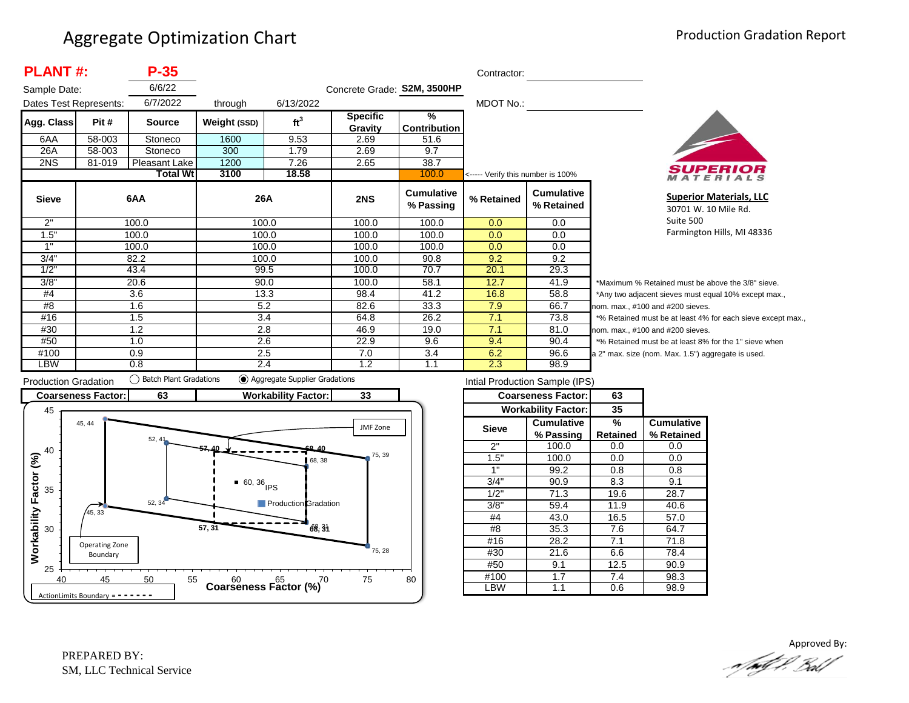| <b>PLANT#:</b><br>$P-35$ |        |                 |              |                 |                             | Contractor:                          |                                   |                                 |        |
|--------------------------|--------|-----------------|--------------|-----------------|-----------------------------|--------------------------------------|-----------------------------------|---------------------------------|--------|
| Sample Date:             |        | 6/6/22          |              |                 | Concrete Grade: S2M, 3500HP |                                      |                                   |                                 |        |
| Dates Test Represents:   |        | 6/7/2022        | through      | 6/13/2022       |                             |                                      | MDOT No.:                         |                                 |        |
| Agg. Class               | Pit #  | <b>Source</b>   | Weight (SSD) | ft <sup>3</sup> | <b>Specific</b><br>Gravity  | $\frac{9}{6}$<br><b>Contribution</b> |                                   |                                 |        |
| 6AA                      | 58-003 | Stoneco         | 1600         | 9.53            | 2.69                        | 51.6                                 |                                   |                                 |        |
| 26A                      | 58-003 | Stoneco         | 300          | 1.79            | 2.69                        | 9.7                                  |                                   |                                 |        |
| 2NS                      | 81-019 | Pleasant Lake   | 1200         | 7.26            | 2.65                        | 38.7                                 |                                   |                                 |        |
|                          |        | <b>Total Wt</b> | 3100         | 18.58           |                             | 100.0                                | <----- Verify this number is 100% |                                 |        |
| <b>Sieve</b>             |        | 6AA             | 26A          |                 | 2NS                         | <b>Cumulative</b><br>% Passing       | % Retained                        | <b>Cumulative</b><br>% Retained |        |
| 2"                       |        | 100.0           | 100.0        |                 | 100.0                       | 100.0                                | 0.0                               | 0.0                             |        |
| 1.5"                     |        | 100.0           | 100.0        |                 | 100.0                       | 100.0                                | 0.0                               | 0.0                             |        |
| 1"                       |        | 100.0           | 100.0        |                 | 100.0                       | 100.0                                | 0.0                               | 0.0                             |        |
| 3/4"                     |        | 82.2            | 100.0        |                 | 100.0                       | 90.8                                 | 9.2                               | 9.2                             |        |
| 1/2"                     |        | 43.4            | 99.5         |                 | 100.0                       | 70.7                                 | 20.1                              | 29.3                            |        |
| 3/8"                     |        | 20.6            | 90.0         |                 | 100.0                       | 58.1                                 | 12.7                              | 41.9                            | $*M$   |
| #4                       |        | 3.6             |              | 13.3            | 98.4                        | 41.2                                 | 16.8                              | 58.8                            | *Ar    |
| #8                       |        | 1.6             | 5.2          |                 | 82.6                        | 33.3                                 | 7.9                               | 66.7                            | nom    |
| #16                      |        | 1.5             | 3.4          |                 | 64.8                        | 26.2                                 | 7.1                               | 73.8                            | $*9/6$ |
| #30                      |        | 1.2             | 2.8          |                 | 46.9                        | 19.0                                 | 7.1                               | 81.0                            | nom    |
| #50                      |        | 1.0             | 2.6          |                 | 22.9                        | 9.6                                  | 9.4                               | 90.4                            | $*$ %  |
| #100                     |        | 0.9             | 2.5          |                 | 7.0                         | 3.4                                  | 6.2                               | 96.6                            | a 2"   |
| LBW                      |        | 0.8             | 2.4          |                 | 1.2                         | 1.1                                  | 2.3                               | 98.9                            |        |



**Superior Materials, LLC** 30701 W. 10 Mile Rd. Suite 500 Farmington Hills, MI 48336

aximum % Retained must be above the 3/8" sieve. ny two adjacent sieves must equal 10% except max., . max.,  $#100$  and  $#200$  sieves. Retained must be at least 4% for each sieve except max., . max., #100 and #200 sieves. Retained must be at least 8% for the 1" sieve when max. size (nom. Max. 1.5") aggregate is used.



| Intial Production Sample (IPS) |                            |          |                   |  |  |  |  |  |
|--------------------------------|----------------------------|----------|-------------------|--|--|--|--|--|
|                                | <b>Coarseness Factor:</b>  | 63       |                   |  |  |  |  |  |
|                                | <b>Workability Factor:</b> | 35       |                   |  |  |  |  |  |
| <b>Sieve</b>                   | Cumulative                 | %        | <b>Cumulative</b> |  |  |  |  |  |
|                                | % Passing                  | Retained | % Retained        |  |  |  |  |  |
| 2"                             | 100.0                      | 0.0      | 0.0               |  |  |  |  |  |
| 1.5"                           | 100.0                      | 0.0      | 0.0               |  |  |  |  |  |
| 1"                             | 99.2                       | 0.8      | 0.8               |  |  |  |  |  |
| 3/4"                           | 90.9                       | 8.3      | 9.1               |  |  |  |  |  |
| 1/2"                           | 71.3                       | 19.6     | 28.7              |  |  |  |  |  |
| 3/8"                           | 59.4                       | 11.9     | 40.6              |  |  |  |  |  |
| #4                             | 43.0                       | 16.5     | 57.0              |  |  |  |  |  |
| #8                             | 35.3                       | 7.6      | 64.7              |  |  |  |  |  |
| #16                            | 28.2                       | 7.1      | 71.8              |  |  |  |  |  |
| #30                            | 21.6                       | 6.6      | 78.4              |  |  |  |  |  |
| #50                            | 9.1                        |          | 90.9              |  |  |  |  |  |
| #100                           | 1.7                        |          | 98.3              |  |  |  |  |  |
| LBW                            | 1.1                        | 0.6      | 98.9              |  |  |  |  |  |

Approved By:<br>Approved By: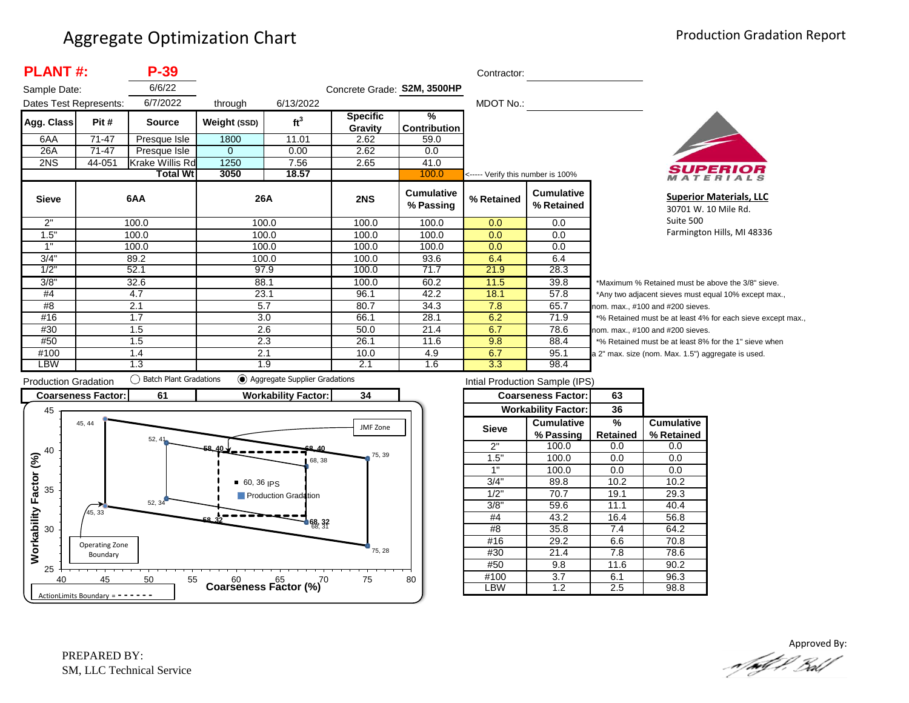| <b>PLANT#:</b><br>P-39 |         |                 |              |                 |                             |                                | Contractor:                       |                                 |        |
|------------------------|---------|-----------------|--------------|-----------------|-----------------------------|--------------------------------|-----------------------------------|---------------------------------|--------|
| Sample Date:           |         | 6/6/22          |              |                 | Concrete Grade: S2M, 3500HP |                                |                                   |                                 |        |
| Dates Test Represents: |         | 6/7/2022        | through      | 6/13/2022       |                             |                                | MDOT No.:                         |                                 |        |
| Agg. Class             | Pit #   | <b>Source</b>   | Weight (SSD) | ft <sup>3</sup> | <b>Specific</b>             | $\frac{9}{6}$                  |                                   |                                 |        |
| 6AA                    | $71-47$ |                 | 1800         | 11.01           | Gravity<br>2.62             | <b>Contribution</b><br>59.0    |                                   |                                 |        |
|                        |         | Presque Isle    |              |                 |                             |                                |                                   |                                 |        |
| 26A                    | 71-47   | Presque Isle    | $\Omega$     | 0.00            | 2.62                        | 0.0                            |                                   |                                 |        |
| 2NS                    | 44-051  | Krake Willis Rd | 1250         | 7.56            | 2.65                        | 41.0                           |                                   |                                 |        |
|                        |         | <b>Total Wt</b> | 3050         | 18.57           |                             | 100.0                          | <----- Verify this number is 100% |                                 |        |
| <b>Sieve</b>           |         | 6AA             | 26A          |                 | 2NS                         | <b>Cumulative</b><br>% Passing | % Retained                        | <b>Cumulative</b><br>% Retained |        |
| 2"                     |         | 100.0           | 100.0        |                 | 100.0                       | 100.0                          | 0.0                               | 0.0                             |        |
| 1.5"                   |         | 100.0           | 100.0        |                 | 100.0                       | 100.0                          | 0.0                               | 0.0                             |        |
| 1"                     |         | 100.0           | 100.0        |                 | 100.0                       | 100.0                          | 0.0                               | $0.0\,$                         |        |
| $3/\overline{4}$       |         | 89.2            | 100.0        |                 | 100.0                       | 93.6                           | 6.4                               | 6.4                             |        |
| 1/2"                   |         | 52.1            | 97.9         |                 | 100.0                       | 71.7                           | 21.9                              | 28.3                            |        |
| 3/8"                   |         | 32.6            | 88.1         |                 | 100.0                       | 60.2                           | 11.5                              | 39.8                            | $*M$   |
| #4                     |         | 4.7             | 23.1         |                 | 96.1                        | 42.2                           | 18.1                              | 57.8                            | $*$ Ar |
| #8                     |         | 2.1             | 5.7          |                 | 80.7                        | 34.3                           | 7.8                               | 65.7                            | nom    |
| #16                    |         | 1.7             | 3.0          |                 | 66.1                        | 28.1                           | 6.2                               | 71.9                            | $*$ %  |
| #30                    |         | 1.5             | 2.6          |                 | 50.0                        | 21.4                           | 6.7                               | 78.6                            | nom    |
| #50                    |         | 1.5             | 2.3          |                 | 26.1                        | 11.6                           | 9.8                               | 88.4                            | $*$ %  |
| #100                   |         | 1.4             | 2.1          |                 | 10.0                        | 4.9                            | 6.7                               | 95.1                            | a 2"   |
| LBW                    |         | 1.3             | 1.9          |                 | 2.1                         | 1.6                            | 3.3                               | 98.4                            |        |



**Superior Materials, LLC** 30701 W. 10 Mile Rd. Suite 500 Farmington Hills, MI 48336

laximum % Retained must be above the 3/8" sieve. ny two adjacent sieves must equal 10% except max.,  $n.$  max.,  $#100$  and  $#200$  sieves. Retained must be at least 4% for each sieve except max., 1. max., #100 and #200 sieves. Retained must be at least 8% for the 1" sieve when max. size (nom. Max. 1.5") aggregate is used.



| Intial Production Sample (IPS) |                            |                 |                   |  |  |  |  |  |
|--------------------------------|----------------------------|-----------------|-------------------|--|--|--|--|--|
|                                | <b>Coarseness Factor:</b>  | 63              |                   |  |  |  |  |  |
|                                | <b>Workability Factor:</b> | 36              |                   |  |  |  |  |  |
| <b>Sieve</b>                   | <b>Cumulative</b>          | %               | <b>Cumulative</b> |  |  |  |  |  |
|                                | % Passing                  | <b>Retained</b> | % Retained        |  |  |  |  |  |
| 2"                             | 100.0                      | 0.0             | 0.0               |  |  |  |  |  |
| 1.5"                           | 100.0                      | 0.0             | 0.0               |  |  |  |  |  |
| 1"                             | 100.0                      | 0.0             | 0.0               |  |  |  |  |  |
| 3/4"                           | 89.8                       |                 | 10.2              |  |  |  |  |  |
| 1/2"                           | 70.7                       | 19.1            | 29.3              |  |  |  |  |  |
| 3/8"                           | 59.6                       | 11.1            | 40.4              |  |  |  |  |  |
| #4                             | 43.2                       | 16.4            | 56.8              |  |  |  |  |  |
| #8                             | 35.8                       | 7.4             | 64.2              |  |  |  |  |  |
| #16                            | 29.2                       | 6.6             | 70.8              |  |  |  |  |  |
| #30                            | 21.4                       | 7.8             | 78.6              |  |  |  |  |  |
| #50                            | 9.8                        | 11.6            | 90.2              |  |  |  |  |  |
| #100                           | 3.7                        | 6.1             | 96.3              |  |  |  |  |  |
| LBW                            | 1.2                        | 2.5             | 98.8              |  |  |  |  |  |

Approved By:<br>Approved By: